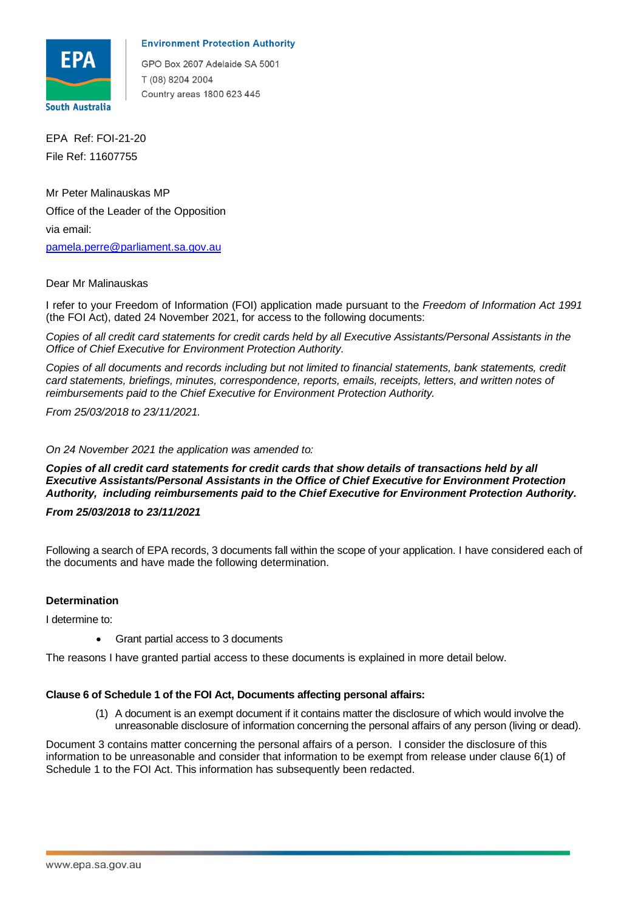

## **Environment Protection Authority**

GPO Box 2607 Adelaide SA 5001 T (08) 8204 2004 Country areas 1800 623 445

 File Ref: 11607755 EPA Ref: FOI-21-20

 Office of the Leader of the Opposition via email: Mr Peter Malinauskas MP pamela.perre@parliament.sa.gov.au

# Dear Mr Malinauskas

 I refer to your Freedom of Information (FOI) application made pursuant to the *Freedom of Information Act 1991*  (the FOI Act), dated 24 November 2021, for access to the following documents:

 *Copies of all credit card statements for credit cards held by all Executive Assistants/Personal Assistants in the Office of Chief Executive for Environment Protection Authority.* 

Copies of all documents and records including but not limited to financial statements, bank statements, credit  *card statements, briefings, minutes, correspondence, reports, emails, receipts, letters, and written notes of reimbursements paid to the Chief Executive for Environment Protection Authority.* 

 *From 25/03/2018 to 23/11/2021.* 

#### *On 24 November 2021 the application was amended to:*

 *Copies of all credit card statements for credit cards that show details of transactions held by all Executive Assistants/Personal Assistants in the Office of Chief Executive for Environment Protection Authority, including reimbursements paid to the Chief Executive for Environment Protection Authority.* 

 *From 25/03/2018 to 23/11/2021* 

 Following a search of EPA records, 3 documents fall within the scope of your application. I have considered each of the documents and have made the following determination.

# **Determination**

I determine to:

• Grant partial access to 3 documents

The reasons I have granted partial access to these documents is explained in more detail below.

#### **Clause 6 of Schedule 1 of the FOI Act, Documents affecting personal affairs:**

 (1) A document is an exempt document if it contains matter the disclosure of which would involve the unreasonable disclosure of information concerning the personal affairs of any person (living or dead).

 Document 3 contains matter concerning the personal affairs of a person. I consider the disclosure of this information to be unreasonable and consider that information to be exempt from release under clause 6(1) of Schedule 1 to the FOI Act. This information has subsequently been redacted.